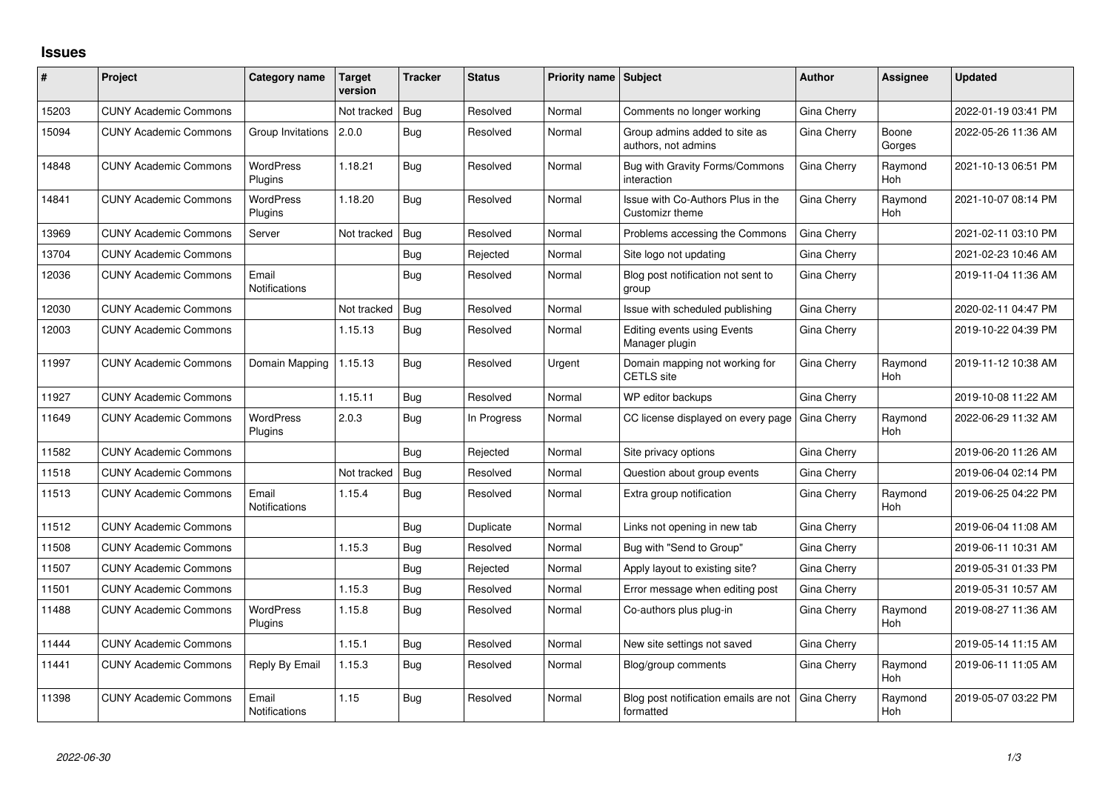## **Issues**

| #     | Project                      | Category name                 | <b>Target</b><br>version | <b>Tracker</b> | <b>Status</b> | <b>Priority name Subject</b> |                                                      | <b>Author</b> | Assignee              | <b>Updated</b>      |
|-------|------------------------------|-------------------------------|--------------------------|----------------|---------------|------------------------------|------------------------------------------------------|---------------|-----------------------|---------------------|
| 15203 | <b>CUNY Academic Commons</b> |                               | Not tracked              | <b>Bug</b>     | Resolved      | Normal                       | Comments no longer working                           | Gina Cherry   |                       | 2022-01-19 03:41 PM |
| 15094 | <b>CUNY Academic Commons</b> | Group Invitations             | 2.0.0                    | Bug            | Resolved      | Normal                       | Group admins added to site as<br>authors, not admins | Gina Cherry   | Boone<br>Gorges       | 2022-05-26 11:36 AM |
| 14848 | <b>CUNY Academic Commons</b> | <b>WordPress</b><br>Plugins   | 1.18.21                  | Bug            | Resolved      | Normal                       | Bug with Gravity Forms/Commons<br>interaction        | Gina Cherry   | Raymond<br>Hoh        | 2021-10-13 06:51 PM |
| 14841 | <b>CUNY Academic Commons</b> | <b>WordPress</b><br>Plugins   | 1.18.20                  | Bug            | Resolved      | Normal                       | Issue with Co-Authors Plus in the<br>Customizr theme | Gina Cherry   | Raymond<br><b>Hoh</b> | 2021-10-07 08:14 PM |
| 13969 | <b>CUNY Academic Commons</b> | Server                        | Not tracked              | Bug            | Resolved      | Normal                       | Problems accessing the Commons                       | Gina Cherry   |                       | 2021-02-11 03:10 PM |
| 13704 | <b>CUNY Academic Commons</b> |                               |                          | Bug            | Rejected      | Normal                       | Site logo not updating                               | Gina Cherry   |                       | 2021-02-23 10:46 AM |
| 12036 | <b>CUNY Academic Commons</b> | Email<br><b>Notifications</b> |                          | Bug            | Resolved      | Normal                       | Blog post notification not sent to<br>group          | Gina Cherry   |                       | 2019-11-04 11:36 AM |
| 12030 | <b>CUNY Academic Commons</b> |                               | Not tracked              | Bug            | Resolved      | Normal                       | Issue with scheduled publishing                      | Gina Cherry   |                       | 2020-02-11 04:47 PM |
| 12003 | <b>CUNY Academic Commons</b> |                               | 1.15.13                  | Bug            | Resolved      | Normal                       | Editing events using Events<br>Manager plugin        | Gina Cherry   |                       | 2019-10-22 04:39 PM |
| 11997 | <b>CUNY Academic Commons</b> | Domain Mapping                | 1.15.13                  | Bug            | Resolved      | Urgent                       | Domain mapping not working for<br><b>CETLS</b> site  | Gina Cherry   | Raymond<br><b>Hoh</b> | 2019-11-12 10:38 AM |
| 11927 | <b>CUNY Academic Commons</b> |                               | 1.15.11                  | Bug            | Resolved      | Normal                       | WP editor backups                                    | Gina Cherry   |                       | 2019-10-08 11:22 AM |
| 11649 | <b>CUNY Academic Commons</b> | <b>WordPress</b><br>Plugins   | 2.0.3                    | Bug            | In Progress   | Normal                       | CC license displayed on every page                   | Gina Cherry   | Raymond<br><b>Hoh</b> | 2022-06-29 11:32 AM |
| 11582 | <b>CUNY Academic Commons</b> |                               |                          | Bug            | Rejected      | Normal                       | Site privacy options                                 | Gina Cherry   |                       | 2019-06-20 11:26 AM |
| 11518 | <b>CUNY Academic Commons</b> |                               | Not tracked              | Bug            | Resolved      | Normal                       | Question about group events                          | Gina Cherry   |                       | 2019-06-04 02:14 PM |
| 11513 | <b>CUNY Academic Commons</b> | Email<br><b>Notifications</b> | 1.15.4                   | Bug            | Resolved      | Normal                       | Extra group notification                             | Gina Cherry   | Raymond<br><b>Hoh</b> | 2019-06-25 04:22 PM |
| 11512 | <b>CUNY Academic Commons</b> |                               |                          | Bug            | Duplicate     | Normal                       | Links not opening in new tab                         | Gina Cherry   |                       | 2019-06-04 11:08 AM |
| 11508 | <b>CUNY Academic Commons</b> |                               | 1.15.3                   | Bug            | Resolved      | Normal                       | Bug with "Send to Group"                             | Gina Cherry   |                       | 2019-06-11 10:31 AM |
| 11507 | <b>CUNY Academic Commons</b> |                               |                          | Bug            | Rejected      | Normal                       | Apply layout to existing site?                       | Gina Cherry   |                       | 2019-05-31 01:33 PM |
| 11501 | <b>CUNY Academic Commons</b> |                               | 1.15.3                   | Bug            | Resolved      | Normal                       | Error message when editing post                      | Gina Cherry   |                       | 2019-05-31 10:57 AM |
| 11488 | <b>CUNY Academic Commons</b> | <b>WordPress</b><br>Plugins   | 1.15.8                   | Bug            | Resolved      | Normal                       | Co-authors plus plug-in                              | Gina Cherry   | Raymond<br>Hoh        | 2019-08-27 11:36 AM |
| 11444 | <b>CUNY Academic Commons</b> |                               | 1.15.1                   | Bug            | Resolved      | Normal                       | New site settings not saved                          | Gina Cherry   |                       | 2019-05-14 11:15 AM |
| 11441 | <b>CUNY Academic Commons</b> | Reply By Email                | 1.15.3                   | Bug            | Resolved      | Normal                       | Blog/group comments                                  | Gina Cherry   | Raymond<br>Hoh        | 2019-06-11 11:05 AM |
| 11398 | <b>CUNY Academic Commons</b> | Email<br><b>Notifications</b> | 1.15                     | Bug            | Resolved      | Normal                       | Blog post notification emails are not<br>formatted   | Gina Cherry   | Raymond<br>Hoh        | 2019-05-07 03:22 PM |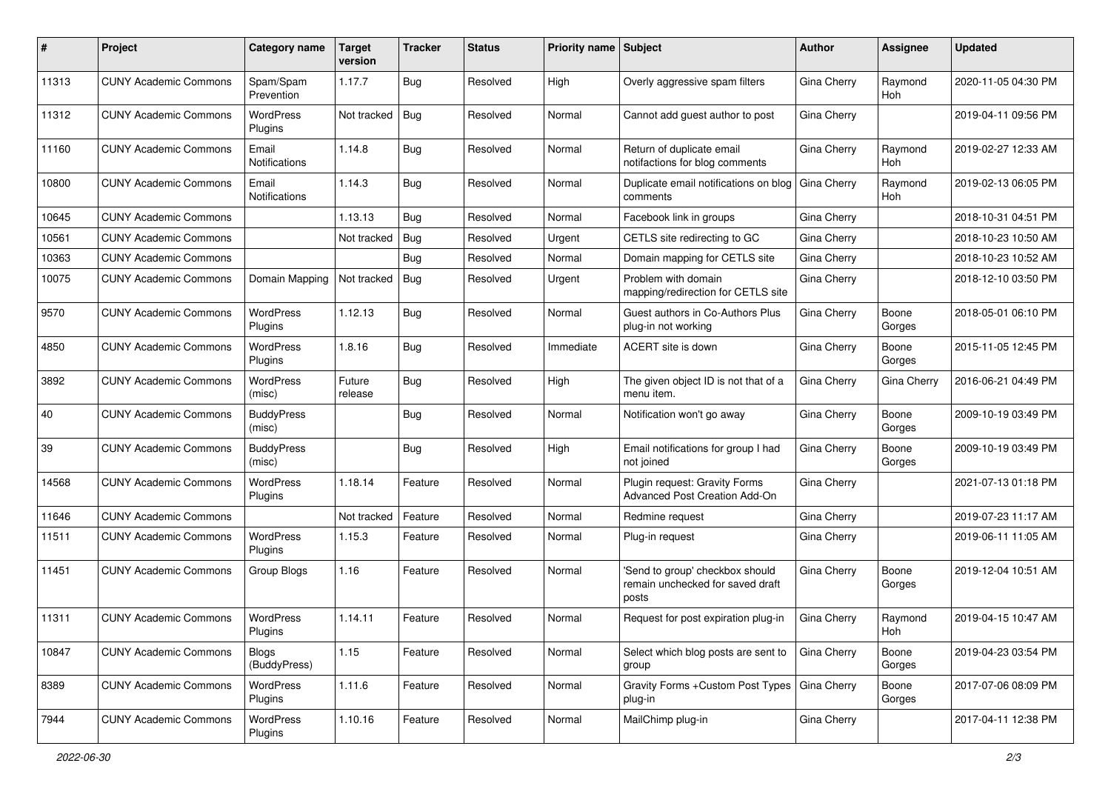| #     | Project                      | <b>Category name</b>          | <b>Target</b><br>version | <b>Tracker</b> | <b>Status</b> | <b>Priority name   Subject</b> |                                                                              | Author             | <b>Assignee</b>       | <b>Updated</b>      |
|-------|------------------------------|-------------------------------|--------------------------|----------------|---------------|--------------------------------|------------------------------------------------------------------------------|--------------------|-----------------------|---------------------|
| 11313 | <b>CUNY Academic Commons</b> | Spam/Spam<br>Prevention       | 1.17.7                   | <b>Bug</b>     | Resolved      | High                           | Overly aggressive spam filters                                               | Gina Cherry        | Raymond<br>Hoh        | 2020-11-05 04:30 PM |
| 11312 | <b>CUNY Academic Commons</b> | <b>WordPress</b><br>Plugins   | Not tracked              | Bug            | Resolved      | Normal                         | Cannot add guest author to post                                              | Gina Cherry        |                       | 2019-04-11 09:56 PM |
| 11160 | <b>CUNY Academic Commons</b> | Email<br><b>Notifications</b> | 1.14.8                   | <b>Bug</b>     | Resolved      | Normal                         | Return of duplicate email<br>notifactions for blog comments                  | Gina Cherry        | Raymond<br><b>Hoh</b> | 2019-02-27 12:33 AM |
| 10800 | <b>CUNY Academic Commons</b> | Email<br><b>Notifications</b> | 1.14.3                   | Bug            | Resolved      | Normal                         | Duplicate email notifications on blog<br>comments                            | Gina Cherry        | Raymond<br><b>Hoh</b> | 2019-02-13 06:05 PM |
| 10645 | <b>CUNY Academic Commons</b> |                               | 1.13.13                  | Bug            | Resolved      | Normal                         | Facebook link in groups                                                      | Gina Cherry        |                       | 2018-10-31 04:51 PM |
| 10561 | <b>CUNY Academic Commons</b> |                               | Not tracked              | Bug            | Resolved      | Urgent                         | CETLS site redirecting to GC                                                 | Gina Cherry        |                       | 2018-10-23 10:50 AM |
| 10363 | <b>CUNY Academic Commons</b> |                               |                          | Bug            | Resolved      | Normal                         | Domain mapping for CETLS site                                                | Gina Cherry        |                       | 2018-10-23 10:52 AM |
| 10075 | <b>CUNY Academic Commons</b> | Domain Mapping                | Not tracked              | Bug            | Resolved      | Urgent                         | Problem with domain<br>mapping/redirection for CETLS site                    | Gina Cherry        |                       | 2018-12-10 03:50 PM |
| 9570  | <b>CUNY Academic Commons</b> | WordPress<br>Plugins          | 1.12.13                  | Bug            | Resolved      | Normal                         | Guest authors in Co-Authors Plus<br>plug-in not working                      | Gina Cherry        | Boone<br>Gorges       | 2018-05-01 06:10 PM |
| 4850  | <b>CUNY Academic Commons</b> | WordPress<br>Plugins          | 1.8.16                   | <b>Bug</b>     | Resolved      | Immediate                      | ACERT site is down                                                           | Gina Cherry        | Boone<br>Gorges       | 2015-11-05 12:45 PM |
| 3892  | <b>CUNY Academic Commons</b> | <b>WordPress</b><br>(misc)    | Future<br>release        | Bug            | Resolved      | High                           | The given object ID is not that of a<br>menu item.                           | Gina Cherry        | Gina Cherry           | 2016-06-21 04:49 PM |
| 40    | <b>CUNY Academic Commons</b> | <b>BuddyPress</b><br>(misc)   |                          | <b>Bug</b>     | Resolved      | Normal                         | Notification won't go away                                                   | Gina Cherry        | Boone<br>Gorges       | 2009-10-19 03:49 PM |
| 39    | <b>CUNY Academic Commons</b> | <b>BuddyPress</b><br>(misc)   |                          | Bug            | Resolved      | High                           | Email notifications for group I had<br>not joined                            | Gina Cherry        | Boone<br>Gorges       | 2009-10-19 03:49 PM |
| 14568 | <b>CUNY Academic Commons</b> | WordPress<br>Plugins          | 1.18.14                  | Feature        | Resolved      | Normal                         | Plugin request: Gravity Forms<br>Advanced Post Creation Add-On               | Gina Cherry        |                       | 2021-07-13 01:18 PM |
| 11646 | <b>CUNY Academic Commons</b> |                               | Not tracked              | Feature        | Resolved      | Normal                         | Redmine request                                                              | Gina Cherry        |                       | 2019-07-23 11:17 AM |
| 11511 | <b>CUNY Academic Commons</b> | <b>WordPress</b><br>Plugins   | 1.15.3                   | Feature        | Resolved      | Normal                         | Plug-in request                                                              | Gina Cherry        |                       | 2019-06-11 11:05 AM |
| 11451 | <b>CUNY Academic Commons</b> | Group Blogs                   | 1.16                     | Feature        | Resolved      | Normal                         | 'Send to group' checkbox should<br>remain unchecked for saved draft<br>posts | Gina Cherry        | Boone<br>Gorges       | 2019-12-04 10:51 AM |
| 11311 | <b>CUNY Academic Commons</b> | <b>WordPress</b><br>Plugins   | 1.14.11                  | Feature        | Resolved      | Normal                         | Request for post expiration plug-in                                          | Gina Cherry        | Raymond<br>Hoh        | 2019-04-15 10:47 AM |
| 10847 | <b>CUNY Academic Commons</b> | <b>Blogs</b><br>(BuddyPress)  | 1.15                     | Feature        | Resolved      | Normal                         | Select which blog posts are sent to<br>group                                 | <b>Gina Cherry</b> | Boone<br>Gorges       | 2019-04-23 03:54 PM |
| 8389  | <b>CUNY Academic Commons</b> | WordPress<br>Plugins          | 1.11.6                   | Feature        | Resolved      | Normal                         | Gravity Forms + Custom Post Types<br>plug-in                                 | Gina Cherry        | Boone<br>Gorges       | 2017-07-06 08:09 PM |
| 7944  | <b>CUNY Academic Commons</b> | WordPress<br>Plugins          | 1.10.16                  | Feature        | Resolved      | Normal                         | MailChimp plug-in                                                            | Gina Cherry        |                       | 2017-04-11 12:38 PM |